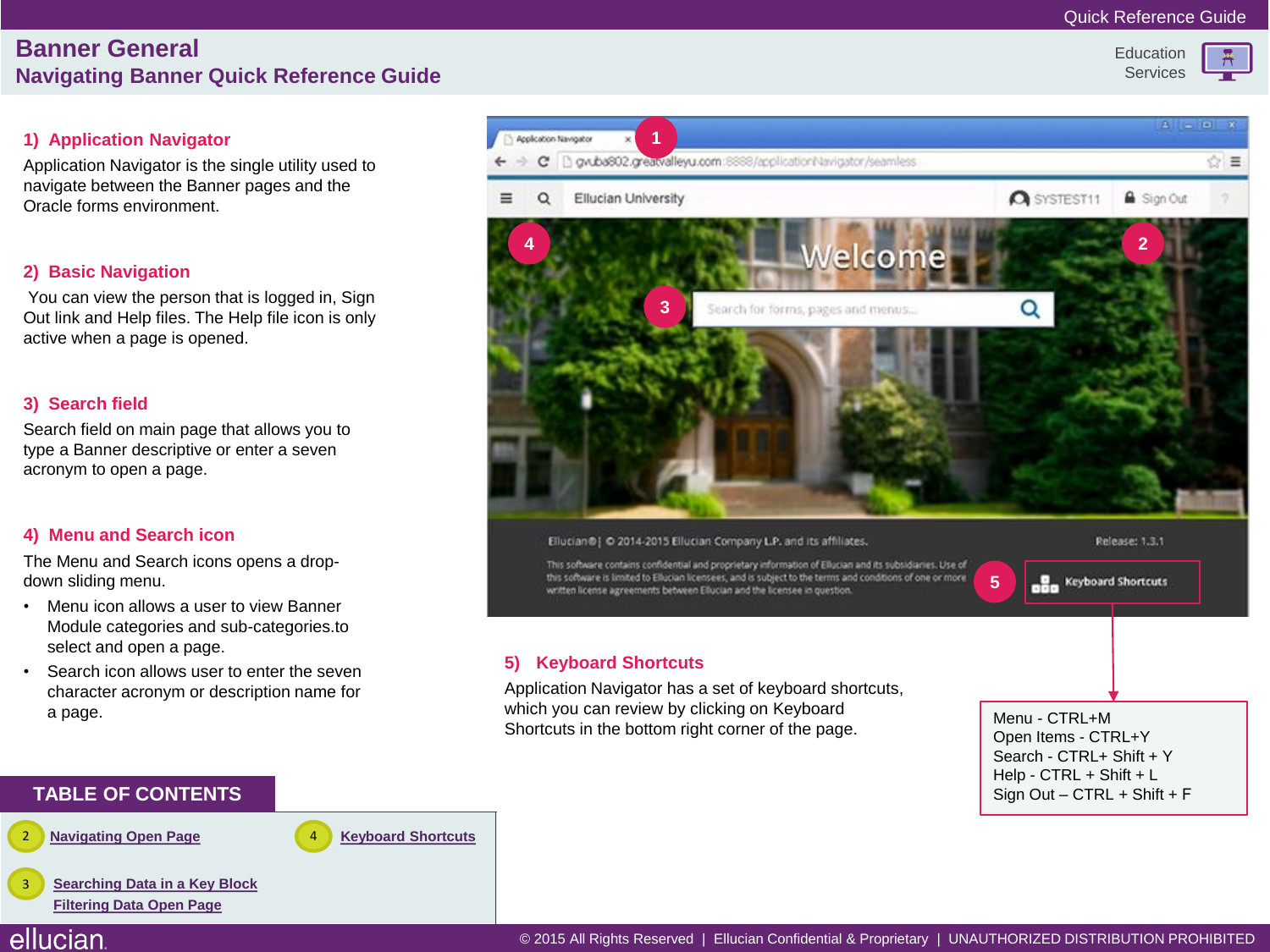## **Banner General Navigating Banner Quick Reference Guide**

#### **Education** Services

## **1) Application Navigator**

Application Navigator is the single utility used to navigate between the Banner pages and the Oracle forms environment.

## **2) Basic Navigation**

You can view the person that is logged in, Sign Out link and Help files. The Help file icon is only active when a page is opened.

### **3) Search field**

Search field on main page that allows you to type a Banner descriptive or enter a seven acronym to open a page.

## **4) Menu and Search icon**

The Menu and Search icons opens a dropdown sliding menu.

- Menu icon allows a user to view Banner Module categories and sub-categories.to select and open a page.
- Search icon allows user to enter the seven character acronym or description name for a page.



### **TABLE OF CONTENTS**

**[Navigating Open Page](#page-1-0)** 

ellucian

4 **[Keyboard Shortcuts](#page-3-0)**

**[Searching Data in a Key Block](#page-2-0) [Filtering Data Open Page](#page-2-0)** 3

#### © 2015 All Rights Reserved | Ellucian Confidential & Proprietary | UNAUTHORIZED DISTRIBUTION PROHIBITED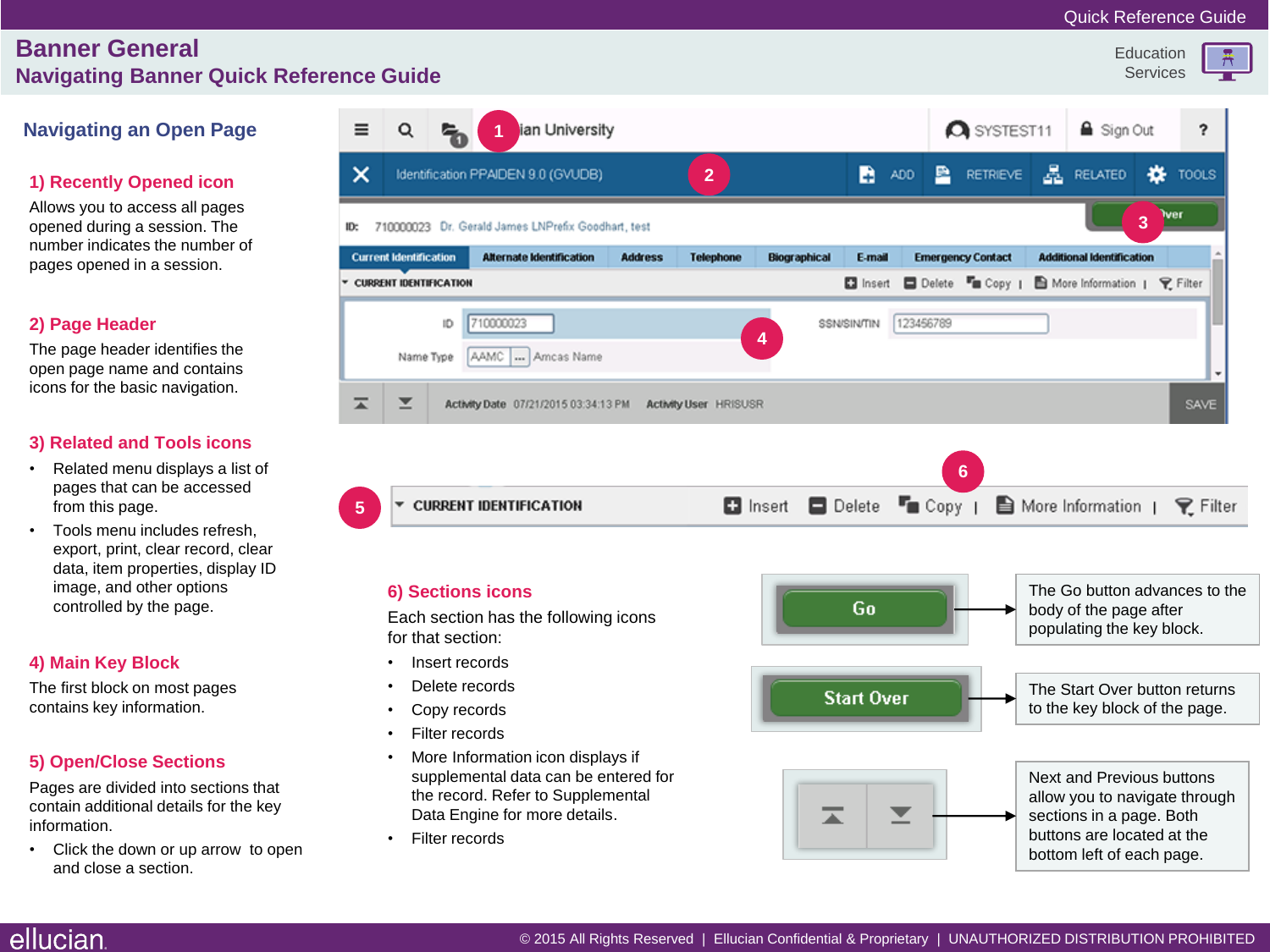**Education** Services

류

## **Banner General Navigating Banner Quick Refere**

## **Navigating an Open Page**

### **1) Recently Opened icon**

Allows you to access all pages opened during a session. The number indicates the number of pages opened in a session.

#### **2) Page Header**

The page header identifies the open page name and contains icons for the basic navigation.

#### **3) Related and Tools icons**

- Related menu displays a list of pages that can be accessed from this page.
- Tools menu includes refresh, export, print, clear record, clear data, item properties, display ID image, and other options controlled by the page.

#### **4) Main Key Block**

The first block on most pages contains key information.

#### **5) Open/Close Sections**

Pages are divided into sections that contain additional details for the key information.

<span id="page-1-0"></span>• Click the down or up arrow to open and close a section.

|                                                                                                | nce Guige.                    |  |                                                    |                |                  |                     |        |       |                          |                                  | <b>UCIVIUGS</b> |            |
|------------------------------------------------------------------------------------------------|-------------------------------|--|----------------------------------------------------|----------------|------------------|---------------------|--------|-------|--------------------------|----------------------------------|-----------------|------------|
| $\equiv$                                                                                       | Q                             |  | ian University<br>1                                |                |                  |                     |        |       | <b>Q</b> SYSTEST11       | <b>△</b> Sign Out                |                 | 2          |
| $\times$                                                                                       |                               |  | Identification PPAIDEN 9.0 (GVUDB)                 |                | $\overline{2}$   |                     | B.     | ADD 图 | RETRIEVE <b>A</b>        | RELATED                          | ∗               | TOOLS      |
| ID:                                                                                            |                               |  | 710000023 Dr. Gerald James LNPrefix Goodhart, test |                |                  |                     |        |       |                          |                                  | $\overline{3}$  | <b>Wer</b> |
|                                                                                                | <b>Current Identification</b> |  | <b>Alternate Identification</b>                    | <b>Address</b> | <b>Telephone</b> | <b>Biographical</b> | E-mail |       | <b>Emergency Contact</b> | <b>Additional Identification</b> |                 |            |
| □ Insert □ Delete ■ Copy   ■ More Information   ♀ Filter<br><b>CURRENT IDENTIFICATION</b><br>۰ |                               |  |                                                    |                |                  |                     |        |       |                          |                                  |                 |            |
| 710000023<br>123456789<br>ID<br>SSN/SIN/TIN<br>4<br>AAMC  Amcas Name<br>Name Type              |                               |  |                                                    |                |                  |                     |        |       |                          |                                  |                 |            |
| ≖<br>⊻<br>SAVE<br>Activity Date 07/21/2015 03:34:13 PM<br><b>Activity User HRISUSR</b>         |                               |  |                                                    |                |                  |                     |        |       |                          |                                  |                 |            |
|                                                                                                |                               |  |                                                    |                |                  |                     |        |       | $6\phantom{1}$           |                                  |                 |            |

 $T_{\blacksquare}$  Copy  $\blacksquare$ More Information | **CURRENT IDENTIFICATION D** Insert **D** Delete  $\triangledown$  Filter

#### **6) Sections icons**

Each section has the following icons for that section:

Insert records

**5**

- Delete records
- Copy records
- Filter records
- More Information icon displays if supplemental data can be entered for the record. Refer to Supplemental Data Engine for more details.
- Filter records

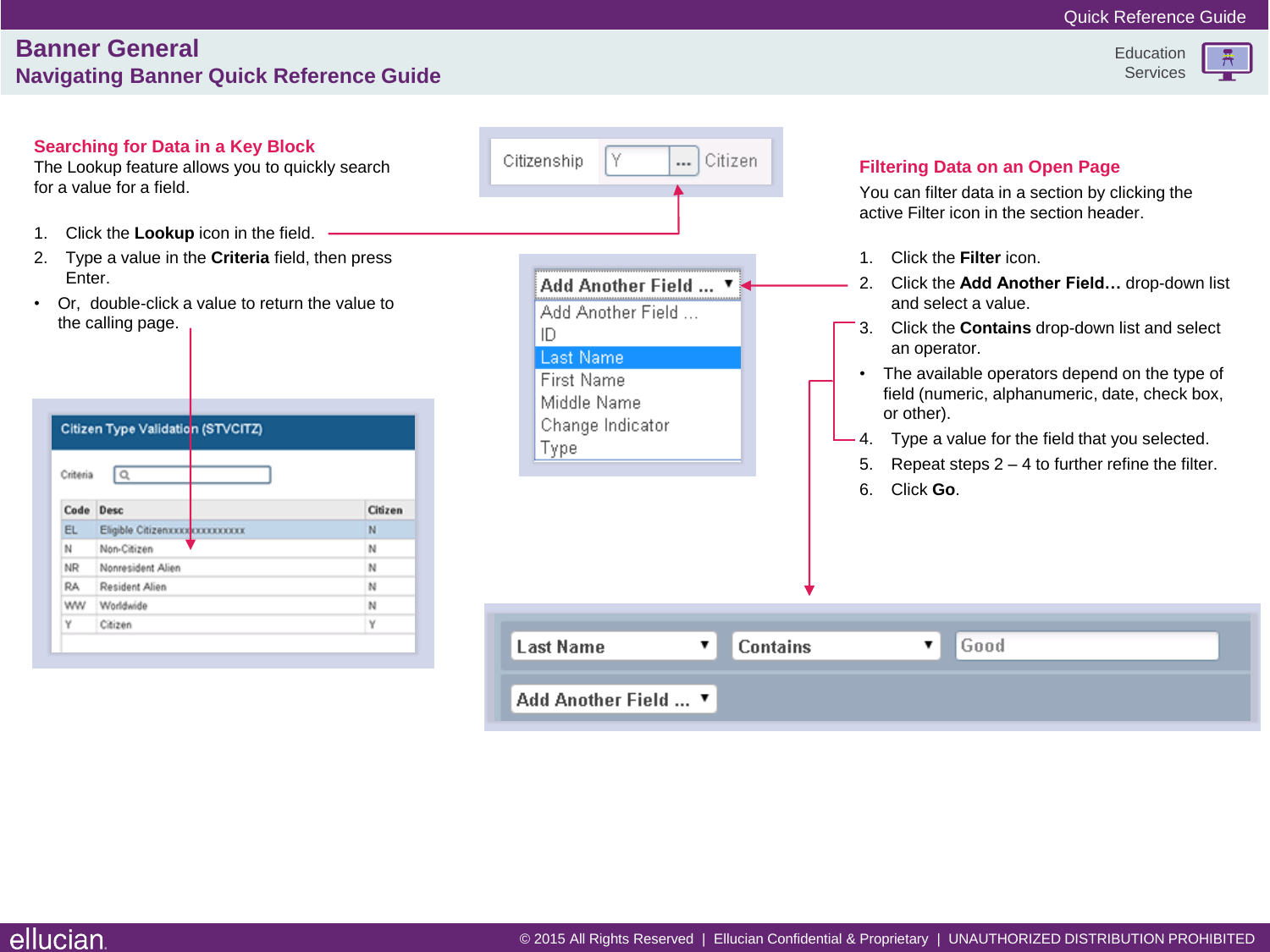## **Banner General Navigating Banner Quick Reference Guide**



<span id="page-2-0"></span>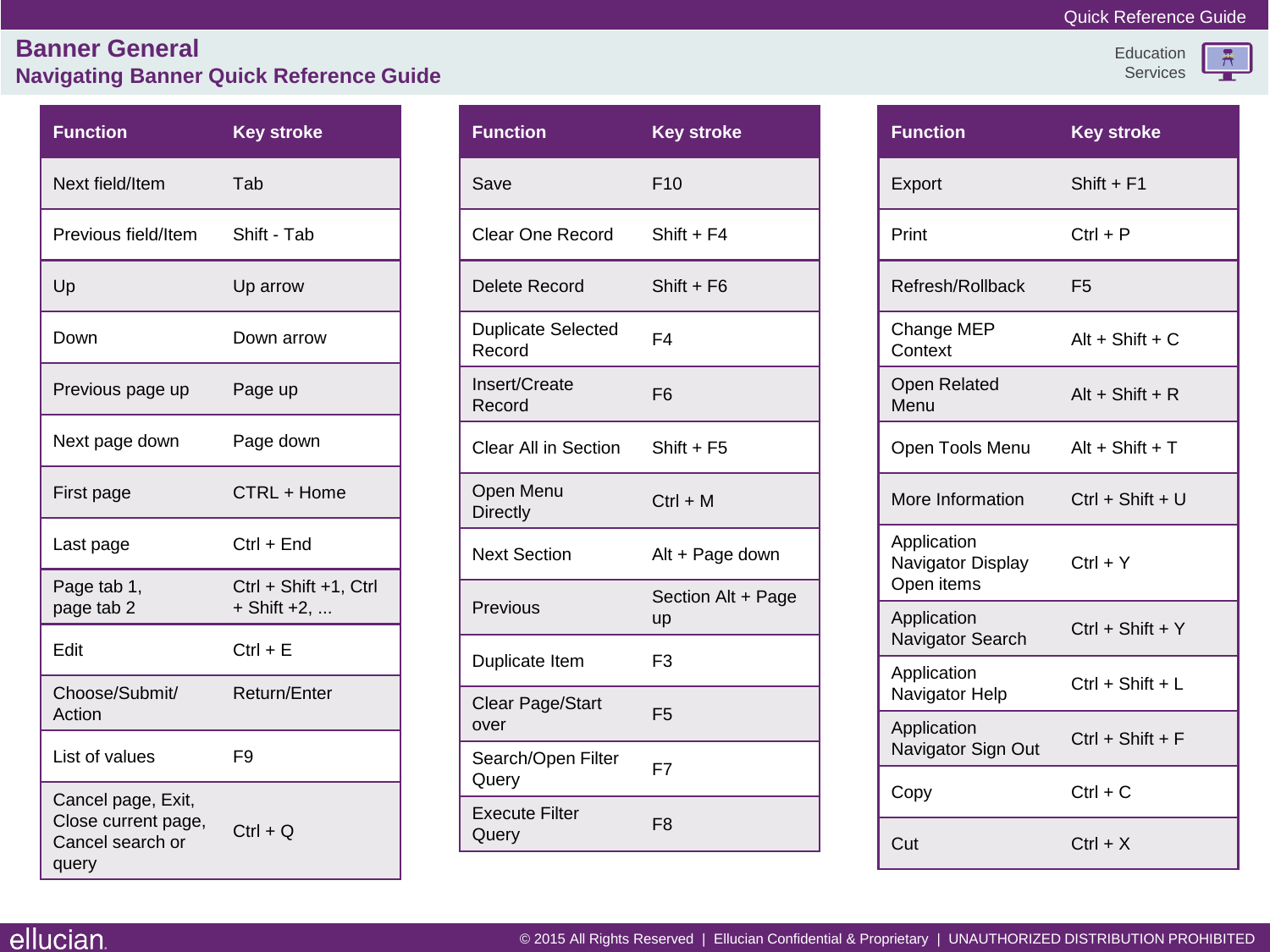### Quick Reference Guide

Education Services  $\frac{R}{1}$ 

# **Banner General Navigating Banner Quick Reference Guide**

<span id="page-3-0"></span>

| <b>Function</b>                                                        | <b>Key stroke</b>                    |  |  |  |
|------------------------------------------------------------------------|--------------------------------------|--|--|--|
| Next field/Item                                                        | Tab                                  |  |  |  |
| Previous field/Item                                                    | Shift - Tab                          |  |  |  |
| Up                                                                     | Up arrow                             |  |  |  |
| Down                                                                   | Down arrow                           |  |  |  |
| Previous page up                                                       | Page up                              |  |  |  |
| Next page down                                                         | Page down                            |  |  |  |
| First page                                                             | CTRL + Home                          |  |  |  |
| Last page                                                              | $Ctrl + End$                         |  |  |  |
| Page tab 1,<br>page tab 2                                              | Ctrl + Shift +1, Ctrl<br>+ Shift +2, |  |  |  |
| Edit                                                                   | $Ctrl + E$                           |  |  |  |
| Choose/Submit/<br>Action                                               | Return/Enter                         |  |  |  |
| List of values                                                         | F9                                   |  |  |  |
| Cancel page, Exit,<br>Close current page,<br>Cancel search or<br>query | $Ctrl + Q$                           |  |  |  |

| <b>Function</b>                     | <b>Key stroke</b>               |
|-------------------------------------|---------------------------------|
| Save                                | F10                             |
| <b>Clear One Record</b>             | Shift + F4                      |
| Delete Record                       | $Shift + F6$                    |
| <b>Duplicate Selected</b><br>Record | F4                              |
| Insert/Create<br>Record             | F <sub>6</sub>                  |
| <b>Clear All in Section</b>         | $Shift + F5$                    |
| Open Menu<br><b>Directly</b>        | $Ctrl + M$                      |
| <b>Next Section</b>                 | Alt + Page down                 |
| Previous                            | Section Alt + Page<br><b>up</b> |
| Duplicate Item                      | F <sub>3</sub>                  |
| Clear Page/Start<br>over            | F <sub>5</sub>                  |
| Search/Open Filter<br>Query         | F7                              |
| <b>Execute Filter</b><br>Query      | F <sub>8</sub>                  |

| <b>Function</b>                                         | <b>Key stroke</b>  |  |  |
|---------------------------------------------------------|--------------------|--|--|
| Export                                                  | $Shift + F1$       |  |  |
| Print                                                   | $Ctrl + P$         |  |  |
| Refresh/Rollback                                        | F <sub>5</sub>     |  |  |
| Change MEP<br>Context                                   | $Alt + Shift + C$  |  |  |
| <b>Open Related</b><br>Menu                             | $Alt + Shift + R$  |  |  |
| Open Tools Menu                                         | Alt + Shift + T    |  |  |
| More Information                                        | $Ctrl + Shift + U$ |  |  |
| Application<br>Navigator Display Ctrl + Y<br>Open items |                    |  |  |
| Application<br>Navigator Search                         | Ctrl + Shift + Y   |  |  |
| Application<br>Navigator Help                           | $Ctrl + Shift + L$ |  |  |
| Application<br>Navigator Sign Out                       | $Ctrl + Shift + F$ |  |  |
| Copy                                                    | $Ctrl + C$         |  |  |
| Cut                                                     | $Ctrl + X$         |  |  |